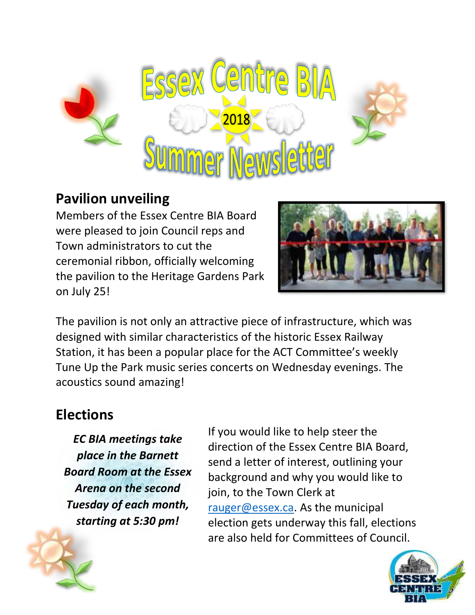

### **Pavilion unveiling**

Members of the Essex Centre BIA Board were pleased to join Council reps and Town administrators to cut the ceremonial ribbon, officially welcoming the pavilion to the Heritage Gardens Park on July 25!



The pavilion is not only an attractive piece of infrastructure, which was designed with similar characteristics of the historic Essex Railway Station, it has been a popular place for the ACT Committee's weekly Tune Up the Park music series concerts on Wednesday evenings. The acoustics sound amazing!

## **Elections**

*EC BIA meetings take place in the Barnett Board Room at the Essex Arena on the second Tuesday of each month, starting at 5:30 pm!*

If you would like to help steer the direction of the Essex Centre BIA Board, send a letter of interest, outlining your background and why you would like to join, to the Town Clerk at [rauger@essex.ca.](mailto:rauger@essex.ca) As the municipal election gets underway this fall, elections are also held for Committees of Council.

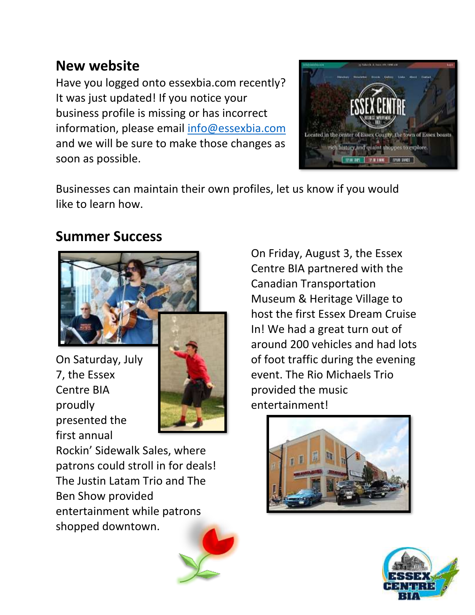### **New website**

Have you logged onto essexbia.com recently? It was just updated! If you notice your business profile is missing or has incorrect information, please email [info@essexbia.com](mailto:info@essexbia.com) and we will be sure to make those changes as soon as possible.



Businesses can maintain their own profiles, let us know if you would like to learn how.

### **Summer Success**



On Saturday, July 7, the Essex Centre BIA proudly presented the first annual



Rockin' Sidewalk Sales, where patrons could stroll in for deals! The Justin Latam Trio and The Ben Show provided entertainment while patrons shopped downtown.



On Friday, August 3, the Essex Centre BIA partnered with the Canadian Transportation Museum & Heritage Village to host the first Essex Dream Cruise In! We had a great turn out of around 200 vehicles and had lots of foot traffic during the evening event. The Rio Michaels Trio provided the music entertainment!



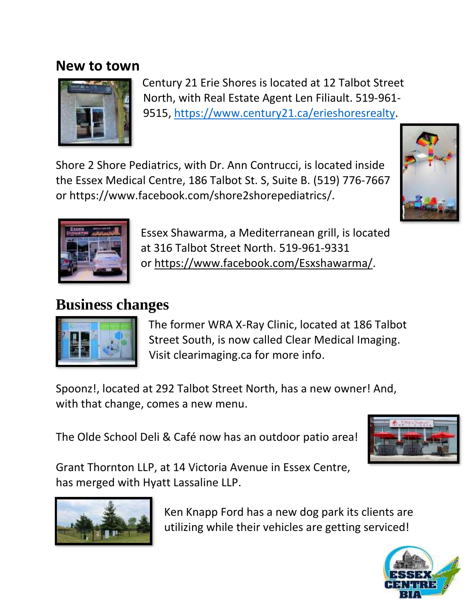#### **New to town**



Century 21 Erie Shores is located at 12 Talbot Street North, with Real Estate Agent Len Filiault. 519-961- 9515, [https://www.century21.ca/erieshoresrealty.](https://www.century21.ca/erieshoresrealty)

Shore 2 Shore Pediatrics, with Dr. Ann Contrucci, is located inside the Essex Medical Centre, 186 Talbot St. S, Suite B. (519) 776-7667 or https://www.facebook.com/shore2shorepediatrics/.





Essex Shawarma, a Mediterranean grill, is located at 316 Talbot Street North. 519-961-9331 or [https://www.facebook.com/Esxshawarma/.](https://www.facebook.com/Esxshawarma/?__xts__%5B0%5D=68.ARAEmCqzuaz2A4JZspDCBfSxoBqyV71uVBK2fugM4Vz2PAn-0icatGyFEgIabRG4u-uFUOUGgGO16oeoI_R3zRiYlfk_eI2ReEQUmoJ6ZoxVK4Mydh7O6KElz74UI5M0CE3OVZc7l-NN&__tn__=-UK-R)

# **Business changes**



The former WRA X-Ray Clinic, located at 186 Talbot Street South, is now called Clear Medical Imaging. Visit clearimaging.ca for more info.

Spoonz!, located at 292 Talbot Street North, has a new owner! And, with that change, comes a new menu.

The Olde School Deli & Café now has an outdoor patio area!



Grant Thornton LLP, at 14 Victoria Avenue in Essex Centre, has merged with Hyatt Lassaline LLP.



Ken Knapp Ford has a new dog park its clients are utilizing while their vehicles are getting serviced!